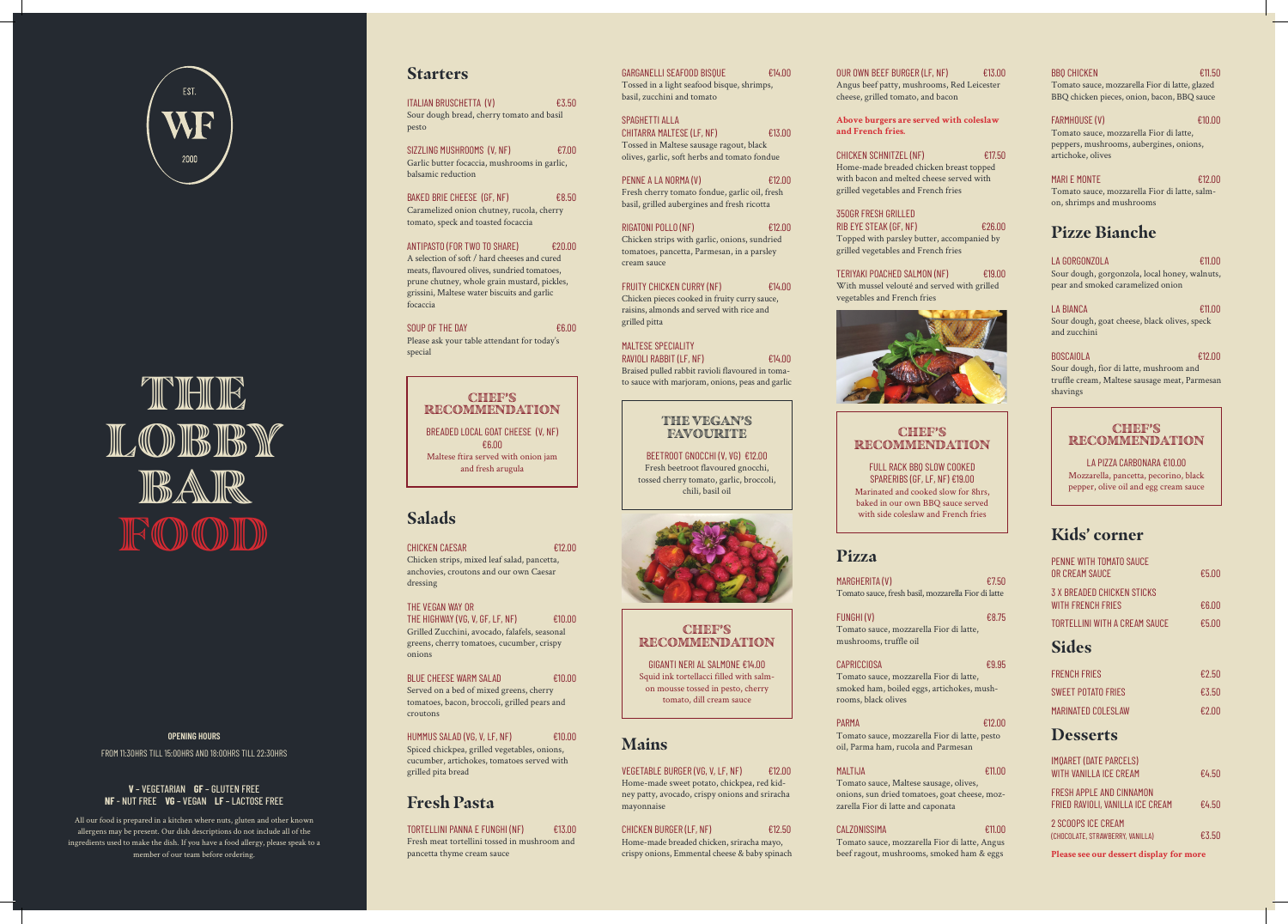

THE LOBBY BAR FOODD

**OPENING HOURS**

FROM 11:30HRS TILL 15:00HRS AND 18:00HRS TILL 22:30HRS

### **V** – VEGETARIAN **GF** – GLUTEN FREE **NF** - NUT FREE **VG** – VEGAN **LF** – LACTOSE FREE

All our food is prepared in a kitchen where nuts, gluten and other known allergens may be present. Our dish descriptions do not include all of the ingredients used to make the dish. If you have a food allergy, please speak to a member of our team before ordering.

SIZZLING MUSHROOMS (V, NF) €7.00 Garlic butter focaccia, mushrooms in garlic, balsamic reduction

BAKED BRIE CHEESE (GF, NF)  $£8.50$ Caramelized onion chutney, rucola, cherry tomato, speck and toasted focaccia

## **Starters**

ITALIAN BRUSCHETTA (V) €3.50 Sour dough bread, cherry tomato and basil pesto

SOUP OF THE DAY  $66.00$ Please ask your table attendant for today's special

CHICKEN CAESAR **€12.00** Chicken strips, mixed leaf salad, pancetta, anchovies, croutons and our own Caesar dressing

BLUE CHEESE WARM SALAD €10.00 Served on a bed of mixed greens, cherry tomatoes, bacon, broccoli, grilled pears and croutons

HUMMUS SALAD (VG, V, LF, NF) €10.00 Spiced chickpea, grilled vegetables, onions, cucumber, artichokes, tomatoes served with grilled pita bread

ANTIPASTO (FOR TWO TO SHARE) €20.00 A selection of soft / hard cheeses and cured meats, flavoured olives, sundried tomatoes, prune chutney, whole grain mustard, pickles, grissini, Maltese water biscuits and garlic focaccia

TORTELLINI PANNA E FUNGHI (NF) €13.00 Fresh meat tortellini tossed in mushroom and pancetta thyme cream sauce

PENNE A LA NORMA (V)  $£12.00$ Fresh cherry tomato fondue, garlic oil, fresh basil, grilled aubergines and fresh ricotta

## **Salads**

FRUITY CHICKEN CURRY (NF)  $E14.00$ Chicken pieces cooked in fruity curry sauce, raisins, almonds and served with rice and grilled pitta

THE VEGAN WAY OR THE HIGHWAY (VG, V, GF, LF, NF)  $\epsilon$ 10.00 Grilled Zucchini, avocado, falafels, seasonal greens, cherry tomatoes, cucumber, crispy onions

OUR OWN BEEF BURGER (LF, NF)  $E13.00$ Angus beef patty, mushrooms, Red Leicester cheese, grilled tomato, and bacon

## **Fresh Pasta**

TERIYAKI POACHED SALMON (NF) €19.00 With mussel velouté and served with grilled vegetables and French fries



MARGHERITA (V)  $£7.50$ Tomato sauce, fresh basil, mozzarella Fior di latte

FUNGHI (V)  $68.75$ Tomato sauce, mozzarella Fior di latte, mushrooms, truffle oil

GARGANELLI SEAFOOD BISQUE €14.00 Tossed in a light seafood bisque, shrimps, basil, zucchini and tomato

SPAGHETTI ALLA CHITARRA MALTESE (LF, NF) €13.00 Tossed in Maltese sausage ragout, black olives, garlic, soft herbs and tomato fondue

RIGATONI POLLO (NF) €12.00 Chicken strips with garlic, onions, sundried tomatoes, pancetta, Parmesan, in a parsley cream sauce

MALTESE SPECIALITY RAVIOLI RABBIT (LF, NF)  $E14.00$ Braised pulled rabbit ravioli flavoured in tomato sauce with marjoram, onions, peas and garlic

## **Mains**

## CHEF'S RECOMMENDATION

VEGETABLE BURGER (VG, V, LF, NF) €12.00 Home-made sweet potato, chickpea, red kidney patty, avocado, crispy onions and sriracha mayonnaise

## CHICKEN BURGER (LF, NF)  $£12,50$

### THE VEGAN'S **FAVOURITE**

Home-made breaded chicken, sriracha mayo, crispy onions, Emmental cheese & baby spinach

## CHEF'S RECOMMENDATION

**Above burgers are served with coleslaw and French fries.**

CHICKEN SCHNITZEL (NF) €17.50 Home-made breaded chicken breast topped with bacon and melted cheese served with grilled vegetables and French fries

350GR FRESH GRILLED RIB EYE STEAK (GF, NF) €26.00 Topped with parsley butter, accompanied by grilled vegetables and French fries

## **Pizza**

### CAPRICCIOSA €9.95

Tomato sauce, mozzarella Fior di latte, smoked ham, boiled eggs, artichokes, mushrooms, black olives

### PARMA €12.00

Tomato sauce, mozzarella Fior di latte, pesto oil, Parma ham, rucola and Parmesan

### MALTIJA €11.00

Tomato sauce, Maltese sausage, olives, onions, sun dried tomatoes, goat cheese, mozzarella Fior di latte and caponata

### CALZONISSIMA €11.00

Tomato sauce, mozzarella Fior di latte, Angus beef ragout, mushrooms, smoked ham & eggs

### $\text{BBO CHICKEN}$   $\text{E11.50}$

### Tomato sauce, mozzarella Fior di latte, glazed BBQ chicken pieces, onion, bacon, BBQ sauce

### FARMHOUSE (V) €10.00

Tomato sauce, mozzarella Fior di latte, peppers, mushrooms, aubergines, onions, artichoke, olives

### MARI E MONTE  $f(2.00)$

Tomato sauce, mozzarella Fior di latte, salmon, shrimps and mushrooms

## **Pizze Bianche**

### LA GORGONZOLA €11.00

Sour dough, gorgonzola, local honey, walnuts, pear and smoked caramelized onion

### LA BIANCA €11.00

### Sour dough, goat cheese, black olives, speck and zucchini

### BOSCAIOLA €12.00

Sour dough, fior di latte, mushroom and truffle cream, Maltese sausage meat, Parmesan shavings

## **Kids' corner**

| PENNE WITH TOMATO SAUCE<br>OR CREAM SAUCE                      | €5.00 |
|----------------------------------------------------------------|-------|
| <b>3 X BREADED CHICKEN STICKS</b><br><b>WITH FRENCH FRIES</b>  | €6.00 |
| TORTELLINI WITH A CREAM SAUCE                                  | €5.00 |
| <b>Sides</b>                                                   |       |
| <b>FRENCH FRIES</b>                                            | €2.50 |
| <b>SWEFT POTATO FRIES</b>                                      | €3.50 |
| <b>MARINATED COLESLAW</b>                                      | €2.00 |
| <b>Desserts</b>                                                |       |
| <b>IMQARET (DATE PARCELS)</b><br><b>WITH VANILLA ICE CREAM</b> | €4.50 |
| FRESH APPI F AND CINNAMON<br>FRIED RAVIOLI, VANILLA ICE CREAM  | €4.50 |
| 2 SCOOPS ICE CREAM<br>(CHOCOLATE, STRAWBERRY, VANILLA)         | €3.50 |
| Please see our dessert display for more                        |       |

BREADED LOCAL GOAT CHEESE (V, NF) €6.00 Maltese ftira served with onion jam and fresh arugula

BEETROOT GNOCCHI (V, VG) €12.00 Fresh beetroot flavoured gnocchi, tossed cherry tomato, garlic, broccoli, chili, basil oil



## CHEF'S RECOMMENDATION

GIGANTI NERI AL SALMONE €14.00 Squid ink tortellacci filled with salmon mousse tossed in pesto, cherry tomato, dill cream sauce

FULL RACK BBQ SLOW COOKED SPARERIBS (GF, LF, NF) €19.00 Marinated and cooked slow for 8hrs, baked in our own BBQ sauce served with side coleslaw and French fries

### CHEF'S RECOMMENDATION

### LA PIZZA CARBONARA €10.00

Mozzarella, pancetta, pecorino, black pepper, olive oil and egg cream sauce